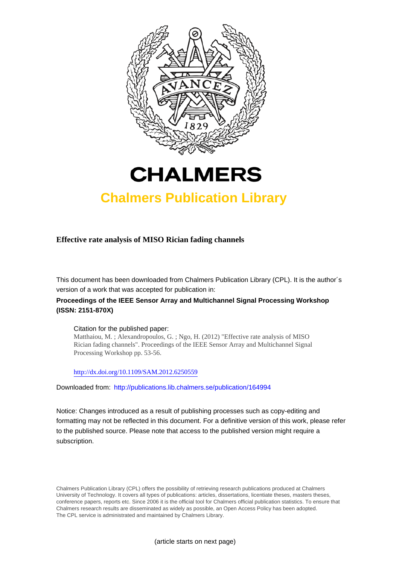



## **Chalmers Publication Library**

**Effective rate analysis of MISO Rician fading channels**

This document has been downloaded from Chalmers Publication Library (CPL). It is the author´s version of a work that was accepted for publication in:

### **Proceedings of the IEEE Sensor Array and Multichannel Signal Processing Workshop (ISSN: 2151-870X)**

#### Citation for the published paper:

Matthaiou, M. ; Alexandropoulos, G. ; Ngo, H. (2012) "Effective rate analysis of MISO Rician fading channels". Proceedings of the IEEE Sensor Array and Multichannel Signal Processing Workshop pp. 53-56.

<http://dx.doi.org/10.1109/SAM.2012.6250559>

Downloaded from: <http://publications.lib.chalmers.se/publication/164994>

Notice: Changes introduced as a result of publishing processes such as copy-editing and formatting may not be reflected in this document. For a definitive version of this work, please refer to the published source. Please note that access to the published version might require a subscription.

Chalmers Publication Library (CPL) offers the possibility of retrieving research publications produced at Chalmers University of Technology. It covers all types of publications: articles, dissertations, licentiate theses, masters theses, conference papers, reports etc. Since 2006 it is the official tool for Chalmers official publication statistics. To ensure that Chalmers research results are disseminated as widely as possible, an Open Access Policy has been adopted. The CPL service is administrated and maintained by Chalmers Library.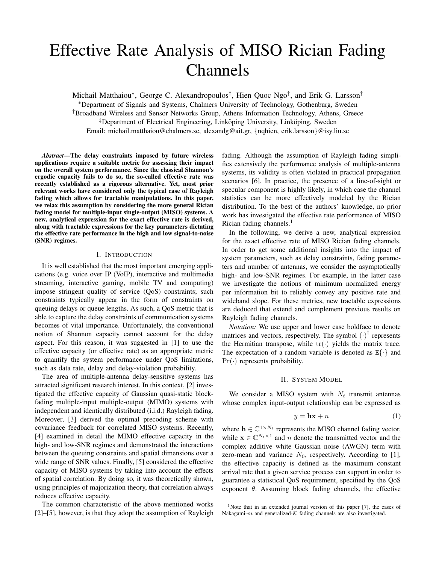# Effective Rate Analysis of MISO Rician Fading Channels

Michail Matthaiou\*, George C. Alexandropoulos<sup>†</sup>, Hien Quoc Ngo<sup>‡</sup>, and Erik G. Larsson<sup>‡</sup> ∗Department of Signals and Systems, Chalmers University of Technology, Gothenburg, Sweden †Broadband Wireless and Sensor Networks Group, Athens Information Technology, Athens, Greece  $\overline{P}$ Department of Electrical Engineering, Linkoping University, Linkoping, Sweden Email: michail.matthaiou@chalmers.se, alexandg@ait.gr, {nqhien, erik.larsson}@isy.liu.se

*Abstract***—The delay constraints imposed by future wireless applications require a suitable metric for assessing their impact on the overall system performance. Since the classical Shannon's ergodic capacity fails to do so, the so-called effective rate was recently established as a rigorous alternative. Yet, most prior relevant works have considered only the typical case of Rayleigh fading which allows for tractable manipulations. In this paper, we relax this assumption by considering the more general Rician fading model for multiple-input single-output (MISO) systems. A new, analytical expression for the exact effective rate is derived, along with tractable expressions for the key parameters dictating the effective rate performance in the high and low signal-to-noise (SNR) regimes.**

#### I. INTRODUCTION

It is well established that the most important emerging applications (e.g. voice over IP (VoIP), interactive and multimedia streaming, interactive gaming, mobile TV and computing) impose stringent quality of service (QoS) constraints; such constraints typically appear in the form of constraints on queuing delays or queue lengths. As such, a QoS metric that is able to capture the delay constraints of communication systems becomes of vital importance. Unfortunately, the conventional notion of Shannon capacity cannot account for the delay aspect. For this reason, it was suggested in [1] to use the effective capacity (or effective rate) as an appropriate metric to quantify the system performance under QoS limitations, such as data rate, delay and delay-violation probability.

The area of multiple-antenna delay-sensitive systems has attracted significant research interest. In this context, [2] investigated the effective capacity of Gaussian quasi-static blockfading multiple-input multiple-output (MIMO) systems with independent and identically distributed (i.i.d.) Rayleigh fading. Moreover, [3] derived the optimal precoding scheme with covariance feedback for correlated MISO systems. Recently, [4] examined in detail the MIMO effective capacity in the high- and low-SNR regimes and demonstrated the interactions between the queuing constraints and spatial dimensions over a wide range of SNR values. Finally, [5] considered the effective capacity of MISO systems by taking into account the effects of spatial correlation. By doing so, it was theoretically shown, using principles of majorization theory, that correlation always reduces effective capacity.

The common characteristic of the above mentioned works [2]–[5], however, is that they adopt the assumption of Rayleigh fading. Although the assumption of Rayleigh fading simplifies extensively the performance analysis of multiple-antenna systems, its validity is often violated in practical propagation scenarios [6]. In practice, the presence of a line-of-sight or specular component is highly likely, in which case the channel statistics can be more effectively modeled by the Rician distribution. To the best of the authors' knowledge, no prior work has investigated the effective rate performance of MISO Rician fading channels. $<sup>1</sup>$ </sup>

In the following, we derive a new, analytical expression for the exact effective rate of MISO Rician fading channels. In order to get some additional insights into the impact of system parameters, such as delay constraints, fading parameters and number of antennas, we consider the asymptotically high- and low-SNR regimes. For example, in the latter case we investigate the notions of minimum normalized energy per information bit to reliably convey any positive rate and wideband slope. For these metrics, new tractable expressions are deduced that extend and complement previous results on Rayleigh fading channels.

*Notation:* We use upper and lower case boldface to denote matrices and vectors, respectively. The symbol  $(·)$ <sup>†</sup> represents the Hermitian transpose, while  $tr(\cdot)$  yields the matrix trace. The expectation of a random variable is denoted as  $E\{\cdot\}$  and  $Pr(\cdot)$  represents probability.

#### II. SYSTEM MODEL

We consider a MISO system with  $N_t$  transmit antennas whose complex input-output relationship can be expressed as

$$
y = \mathbf{h}\mathbf{x} + n \tag{1}
$$

where  $h \in \mathbb{C}^{1 \times N_t}$  represents the MISO channel fading vector, while  $\mathbf{x} \in \mathbb{C}^{N_t \times 1}$  and *n* denote the transmitted vector and the complex additive white Gaussian noise (AWGN) term with zero-mean and variance  $N_0$ , respectively. According to [1], the effective capacity is defined as the maximum constant arrival rate that a given service process can support in order to guarantee a statistical QoS requirement, specified by the QoS exponent  $\theta$ . Assuming block fading channels, the effective

<sup>&</sup>lt;sup>1</sup>Note that in an extended journal version of this paper [7], the cases of Nakagami- $m$  and generalized- $K$  fading channels are also investigated.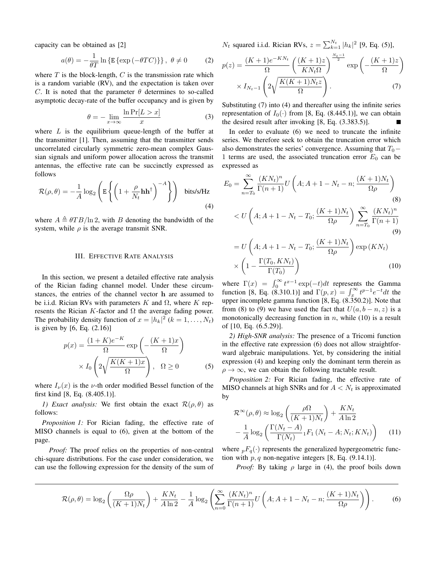capacity can be obtained as [2]

$$
a(\theta) = -\frac{1}{\theta T} \ln \{ \mathbb{E} \{ \exp(-\theta T C) \} \}, \ \theta \neq 0 \tag{2}
$$

where  $T$  is the block-length,  $C$  is the transmission rate which is a random variable (RV), and the expectation is taken over C. It is noted that the parameter  $\theta$  determines to so-called asymptotic decay-rate of the buffer occupancy and is given by

$$
\theta = -\lim_{x \to \infty} \frac{\ln \Pr[L > x]}{x} \tag{3}
$$

where  $L$  is the equilibrium queue-length of the buffer at the transmitter [1]. Then, assuming that the transmitter sends uncorrelated circularly symmetric zero-mean complex Gaussian signals and uniform power allocation across the transmit antennas, the effective rate can be succinctly expressed as follows

$$
\mathcal{R}(\rho,\theta) = -\frac{1}{A}\log_2\left(\mathbb{E}\left\{ \left(1 + \frac{\rho}{N_t}\mathbf{h}\mathbf{h}^\dagger\right)^{-A}\right\}\right) \text{ bits/s/Hz}
$$
\n(4)

where  $A \triangleq \theta T B / \ln 2$ , with B denoting the bandwidth of the system, while  $\rho$  is the average transmit SNR.

#### III. EFFECTIVE RATE ANALYSIS

In this section, we present a detailed effective rate analysis of the Rician fading channel model. Under these circumstances, the entries of the channel vector **h** are assumed to be i.i.d. Rician RVs with parameters K and  $\Omega$ , where K represents the Rician  $K$ -factor and  $\Omega$  the average fading power. The probability density function of  $x = |h_k|^2$   $(k = 1, ..., N_t)$ is given by [6, Eq. (2.16)]

$$
p(x) = \frac{(1+K)e^{-K}}{\Omega} \exp\left(-\frac{(K+1)x}{\Omega}\right)
$$

$$
\times I_0 \left(2\sqrt{\frac{K(K+1)x}{\Omega}}\right), \quad \Omega \ge 0 \tag{5}
$$

where  $I_{\nu}(x)$  is the  $\nu$ -th order modified Bessel function of the first kind [8, Eq. (8.405.1)].

*1) Exact analysis:* We first obtain the exact  $\mathcal{R}(\rho, \theta)$  as follows:

*Proposition 1:* For Rician fading, the effective rate of MISO channels is equal to (6), given at the bottom of the page.

*Proof:* The proof relies on the properties of non-central chi-square distributions. For the case under consideration, we can use the following expression for the density of the sum of  $N_t$  squared i.i.d. Rician RVs,  $z = \sum_{k=1}^{N_t} |h_k|^2$  [9, Eq. (5)],

$$
p(z) = \frac{(K+1)e^{-KN_t}}{\Omega} \left(\frac{(K+1)z}{KN_t\Omega}\right)^{\frac{N_t-1}{2}} \exp\left(-\frac{(K+1)z}{\Omega}\right)
$$

$$
\times I_{N_t-1} \left(2\sqrt{\frac{K(K+1)N_t z}{\Omega}}\right). \tag{7}
$$

Substituting (7) into (4) and thereafter using the infinite series representation of  $I_0(·)$  from [8, Eq. (8.445.1)], we can obtain the desired result after invoking [8, Eq. (3.383.5)].

In order to evaluate (6) we need to truncate the infinite series. We therefore seek to obtain the truncation error which also demonstrates the series' convergence. Assuming that  $T_0$  – 1 terms are used, the associated truncation error  $E_0$  can be expressed as

$$
E_0 = \sum_{n=T_0}^{\infty} \frac{(KN_t)^n}{\Gamma(n+1)} U\left(A; A+1-N_t-n; \frac{(K+1)N_t}{\Omega \rho}\right)
$$
\n
$$
< U\left(A; A+1-N_t-T_0; \frac{(K+1)N_t}{\Omega \rho}\right) \sum_{n=T_0}^{\infty} \frac{(KN_t)^n}{\Gamma(n+1)}
$$
\n(8)

(9)  
\n
$$
= U\left(A; A+1-N_t-T_0; \frac{(K+1)N_t}{\Omega \rho}\right) \exp(KN_t)
$$
\n
$$
\times \left(1 - \frac{\Gamma(T_0, KN_t)}{\Gamma(T_0)}\right) \tag{10}
$$

where  $\Gamma(x) = \int_0^\infty t^{x-1} \exp(-t) dt$  represents the Gamma function [8, Eq. (8.310.1)] and  $\Gamma(p, x) = \int_x^{\infty} t^{p-1} e^{-t} dt$  the upper incomplete gamma function [8, Eq. (8.350.2)]. Note that from (8) to (9) we have used the fact that  $U(a, b - n, z)$  is a monotonically decreasing function in  $n$ , while (10) is a result of [10, Eq. (6.5.29)].

*2) High-SNR analysis:* The presence of a Tricomi function in the effective rate expression (6) does not allow straightforward algebraic manipulations. Yet, by considering the initial expression (4) and keeping only the dominant term therein as  $\rho \rightarrow \infty$ , we can obtain the following tractable result.

*Proposition 2:* For Rician fading, the effective rate of MISO channels at high SNRs and for  $A < N_t$  is approximated by

$$
\mathcal{R}^{\infty}(\rho,\theta) \approx \log_2\left(\frac{\rho\Omega}{(K+1)N_t}\right) + \frac{KN_t}{A\ln 2} - \frac{1}{A}\log_2\left(\frac{\Gamma(N_t - A)}{\Gamma(N_t)} {}_1F_1(N_t - A; N_t; KN_t)\right) \tag{11}
$$

where  ${}_{p}F_{q}(\cdot)$  represents the generalized hypergeometric function with  $p, q$  non-negative integers [8, Eq. (9.14.1)].

*Proof:* By taking  $\rho$  large in (4), the proof boils down

$$
\mathcal{R}(\rho,\theta) = \log_2\left(\frac{\Omega\rho}{(K+1)N_t}\right) + \frac{KN_t}{A\ln 2} - \frac{1}{A}\log_2\left(\sum_{n=0}^{\infty}\frac{(KN_t)^n}{\Gamma(n+1)}U\left(A;A+1-N_t-n;\frac{(K+1)N_t}{\Omega\rho}\right)\right). \tag{6}
$$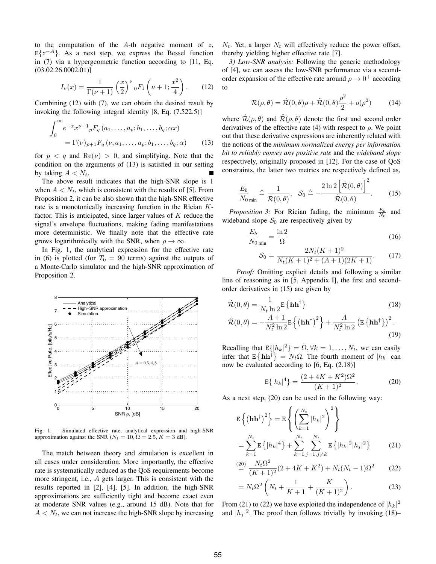to the computation of the  $A$ -th negative moment of  $z$ ,  $E\{z^{-A}\}\$ . As a next step, we express the Bessel function in (7) via a hypergeometric function according to [11, Eq.  $(03.02.26.0002.01)]$ 

$$
I_{\nu}(x) = \frac{1}{\Gamma(\nu+1)} \left(\frac{x}{2}\right)^{\nu} {}_{0}F_{1}\left(\nu+1; \frac{x^{2}}{4}\right). \tag{12}
$$

Combining (12) with (7), we can obtain the desired result by invoking the following integral identity [8, Eq. (7.522.5)]

$$
\int_0^{\infty} e^{-x} x^{\nu-1} {}_p F_q(a_1, \dots, a_p; b_1, \dots, b_q; \alpha x)
$$
  
=  $\Gamma(\nu)_{p+1} F_q(\nu, a_1, \dots, a_p; b_1, \dots, b_q; \alpha)$  (13)

for  $p \leq q$  and  $\text{Re}(\nu) > 0$ , and simplifying. Note that the condition on the arguments of (13) is satisfied in our setting by taking  $A < N_t$ .

The above result indicates that the high-SNR slope is 1 when  $A < N_t$ , which is consistent with the results of [5]. From Proposition 2, it can be also shown that the high-SNR effective rate is a monotonically increasing function in the Rician  $K$ factor. This is anticipated, since larger values of  $K$  reduce the signal's envelope fluctuations, making fading manifestations more deterministic. We finally note that the effective rate grows logarithmically with the SNR, when  $\rho \to \infty$ .

In Fig. 1, the analytical expression for the effective rate in (6) is plotted (for  $T_0 = 90$  terms) against the outputs of a Monte-Carlo simulator and the high-SNR approximation of Proposition 2.



Fig. 1. Simulated effective rate, analytical expression and high-SNR approximation against the SNR ( $N_t = 10$ ,  $\Omega = 2.5$ ,  $K = 3$  dB).

The match between theory and simulation is excellent in all cases under consideration. More importantly, the effective rate is systematically reduced as the QoS requirements become more stringent, i.e.,  $A$  gets larger. This is consistent with the results reported in [2], [4], [5]. In addition, the high-SNR approximations are sufficiently tight and become exact even at moderate SNR values (e.g., around 15 dB). Note that for  $A < N_t$ , we can not increase the high-SNR slope by increasing  $N_t$ . Yet, a larger  $N_t$  will effectively reduce the power offset, thereby yielding higher effective rate [7].

*3) Low-SNR analysis:* Following the generic methodology of [4], we can assess the low-SNR performance via a secondorder expansion of the effective rate around  $\rho \rightarrow 0^+$  according to

$$
\mathcal{R}(\rho,\theta) = \dot{\mathcal{R}}(0,\theta)\rho + \ddot{\mathcal{R}}(0,\theta)\frac{\rho^2}{2} + o(\rho^2)
$$
 (14)

where  $\mathcal{R}(\rho, \theta)$  and  $\mathcal{R}(\rho, \theta)$  denote the first and second order derivatives of the effective rate (4) with respect to  $\rho$ . We point out that these derivative expressions are inherently related with the notions of the *minimum normalized energy per information bit to reliably convey any positive rate* and the *wideband slope* respectively, originally proposed in [12]. For the case of QoS constraints, the latter two metrics are respectively defined as,

$$
\frac{E_b}{N_0}_{\min} \triangleq \frac{1}{\dot{\mathcal{R}}(0,\theta)}, \quad \mathcal{S}_0 \triangleq -\frac{2\ln 2\left[\dot{\mathcal{R}}(0,\theta)\right]^2}{\ddot{\mathcal{R}}(0,\theta)}.
$$
 (15)

*Proposition 3:* For Rician fading, the minimum  $\frac{E_b}{N_0}$  and wideband slope  $S_0$  are respectively given by

$$
\frac{E_b}{N_0}_{\text{min}} = \frac{\ln 2}{\Omega} \tag{16}
$$

$$
S_0 = \frac{2N_t(K+1)^2}{N_t(K+1)^2 + (A+1)(2K+1)}.\tag{17}
$$

*Proof:* Omitting explicit details and following a similar line of reasoning as in [5, Appendix I], the first and secondorder derivatives in (15) are given by

$$
\dot{\mathcal{R}}(0,\theta) = \frac{1}{N_t \ln 2} \mathbb{E} \left\{ \mathbf{h} \mathbf{h}^\dagger \right\} \tag{18}
$$

$$
\ddot{\mathcal{R}}(0,\theta) = -\frac{A+1}{N_t^2 \ln 2} \mathbb{E}\left\{ \left(\mathbf{h} \mathbf{h}^\dagger\right)^2 \right\} + \frac{A}{N_t^2 \ln 2} \left(\mathbb{E}\left\{ \mathbf{h} \mathbf{h}^\dagger \right\} \right)^2. \tag{19}
$$

Recalling that  $E\{|h_k|^2\} = \Omega, \forall k = 1, \dots, N_t$ , we can easily infer that  $E\{\mathbf{h}\mathbf{h}^{\dagger}\} = N_t \Omega$ . The fourth moment of  $|h_k|$  can now be evaluated according to [6, Eq. (2.18)]

$$
E\{|h_k|^4\} = \frac{(2+4K+K^2)\Omega^2}{(K+1)^2}.
$$
 (20)

As a next step, (20) can be used in the following way:

$$
\mathbf{E}\left\{(\mathbf{h}\mathbf{h}^{\dagger})^{2}\right\} = \mathbf{E}\left\{\left(\sum_{k=1}^{N_{t}}|h_{k}|^{2}\right)^{2}\right\}
$$

$$
= \sum_{k=1}^{N_{t}}\mathbf{E}\left\{|h_{k}|^{4}\right\} + \sum_{k=1}^{N_{t}}\sum_{j=1,j\neq k}^{N_{t}}\mathbf{E}\left\{|h_{k}|^{2}|h_{j}|^{2}\right\} \tag{21}
$$

$$
\stackrel{(20)}{=} \frac{N_t \Omega^2}{(K+1)^2} (2 + 4K + K^2) + N_t (N_t - 1) \Omega^2 \tag{22}
$$

$$
= N_t \Omega^2 \left( N_t + \frac{1}{K+1} + \frac{K}{(K+1)^2} \right).
$$
 (23)

From (21) to (22) we have exploited the independence of  $|h_k|^2$ and  $|h_j|^2$ . The proof then follows trivially by invoking (18)–